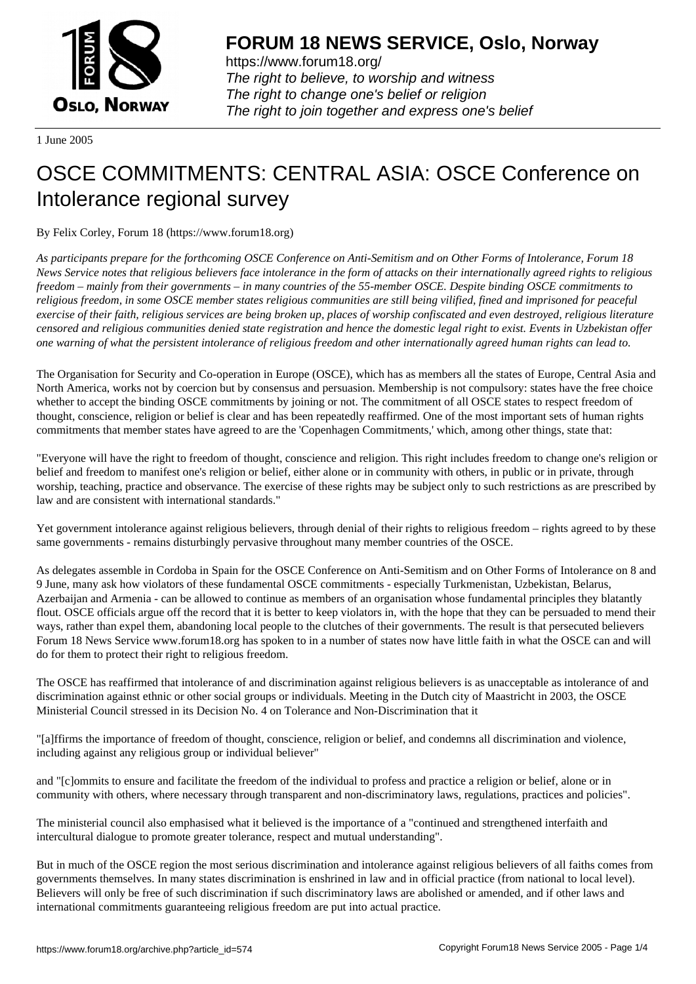

https://www.forum18.org/ The right to believe, to worship and witness The right to change one's belief or religion [The right to join together a](https://www.forum18.org/)nd express one's belief

1 June 2005

## [OSCE COMMIT](https://www.forum18.org)MENTS: CENTRAL ASIA: OSCE Conference on Intolerance regional survey

By Felix Corley, Forum 18 (https://www.forum18.org)

*As participants prepare for the forthcoming OSCE Conference on Anti-Semitism and on Other Forms of Intolerance, Forum 18 News Service notes that religious believers face intolerance in the form of attacks on their internationally agreed rights to religious freedom – mainly from their governments – in many countries of the 55-member OSCE. Despite binding OSCE commitments to religious freedom, in some OSCE member states religious communities are still being vilified, fined and imprisoned for peaceful exercise of their faith, religious services are being broken up, places of worship confiscated and even destroyed, religious literature censored and religious communities denied state registration and hence the domestic legal right to exist. Events in Uzbekistan offer one warning of what the persistent intolerance of religious freedom and other internationally agreed human rights can lead to.*

The Organisation for Security and Co-operation in Europe (OSCE), which has as members all the states of Europe, Central Asia and North America, works not by coercion but by consensus and persuasion. Membership is not compulsory: states have the free choice whether to accept the binding OSCE commitments by joining or not. The commitment of all OSCE states to respect freedom of thought, conscience, religion or belief is clear and has been repeatedly reaffirmed. One of the most important sets of human rights commitments that member states have agreed to are the 'Copenhagen Commitments,' which, among other things, state that:

"Everyone will have the right to freedom of thought, conscience and religion. This right includes freedom to change one's religion or belief and freedom to manifest one's religion or belief, either alone or in community with others, in public or in private, through worship, teaching, practice and observance. The exercise of these rights may be subject only to such restrictions as are prescribed by law and are consistent with international standards."

Yet government intolerance against religious believers, through denial of their rights to religious freedom – rights agreed to by these same governments - remains disturbingly pervasive throughout many member countries of the OSCE.

As delegates assemble in Cordoba in Spain for the OSCE Conference on Anti-Semitism and on Other Forms of Intolerance on 8 and 9 June, many ask how violators of these fundamental OSCE commitments - especially Turkmenistan, Uzbekistan, Belarus, Azerbaijan and Armenia - can be allowed to continue as members of an organisation whose fundamental principles they blatantly flout. OSCE officials argue off the record that it is better to keep violators in, with the hope that they can be persuaded to mend their ways, rather than expel them, abandoning local people to the clutches of their governments. The result is that persecuted believers Forum 18 News Service www.forum18.org has spoken to in a number of states now have little faith in what the OSCE can and will do for them to protect their right to religious freedom.

The OSCE has reaffirmed that intolerance of and discrimination against religious believers is as unacceptable as intolerance of and discrimination against ethnic or other social groups or individuals. Meeting in the Dutch city of Maastricht in 2003, the OSCE Ministerial Council stressed in its Decision No. 4 on Tolerance and Non-Discrimination that it

"[a]ffirms the importance of freedom of thought, conscience, religion or belief, and condemns all discrimination and violence, including against any religious group or individual believer"

and "[c]ommits to ensure and facilitate the freedom of the individual to profess and practice a religion or belief, alone or in community with others, where necessary through transparent and non-discriminatory laws, regulations, practices and policies".

The ministerial council also emphasised what it believed is the importance of a "continued and strengthened interfaith and intercultural dialogue to promote greater tolerance, respect and mutual understanding".

But in much of the OSCE region the most serious discrimination and intolerance against religious believers of all faiths comes from governments themselves. In many states discrimination is enshrined in law and in official practice (from national to local level). Believers will only be free of such discrimination if such discriminatory laws are abolished or amended, and if other laws and international commitments guaranteeing religious freedom are put into actual practice.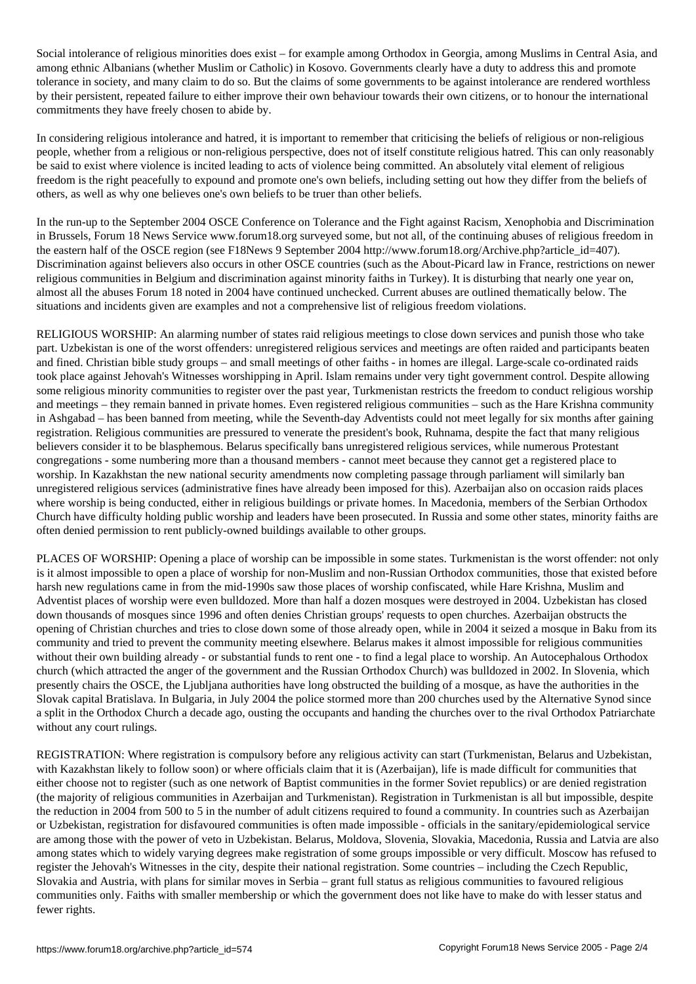Social intolerance of religious minorities does exist – for example among Orthodox in Georgia, among Muslims in Central Asia, and among ethnic Albanians (whether Muslim or Catholic) in Kosovo. Governments clearly have a duty to address this and promote tolerance in society, and many claim to do so. But the claims of some governments to be against intolerance are rendered worthless by their persistent, repeated failure to either improve their own behaviour towards their own citizens, or to honour the international commitments they have freely chosen to abide by.

In considering religious intolerance and hatred, it is important to remember that criticising the beliefs of religious or non-religious people, whether from a religious or non-religious perspective, does not of itself constitute religious hatred. This can only reasonably be said to exist where violence is incited leading to acts of violence being committed. An absolutely vital element of religious freedom is the right peacefully to expound and promote one's own beliefs, including setting out how they differ from the beliefs of others, as well as why one believes one's own beliefs to be truer than other beliefs.

In the run-up to the September 2004 OSCE Conference on Tolerance and the Fight against Racism, Xenophobia and Discrimination in Brussels, Forum 18 News Service www.forum18.org surveyed some, but not all, of the continuing abuses of religious freedom in the eastern half of the OSCE region (see F18News 9 September 2004 http://www.forum18.org/Archive.php?article\_id=407). Discrimination against believers also occurs in other OSCE countries (such as the About-Picard law in France, restrictions on newer religious communities in Belgium and discrimination against minority faiths in Turkey). It is disturbing that nearly one year on, almost all the abuses Forum 18 noted in 2004 have continued unchecked. Current abuses are outlined thematically below. The situations and incidents given are examples and not a comprehensive list of religious freedom violations.

RELIGIOUS WORSHIP: An alarming number of states raid religious meetings to close down services and punish those who take part. Uzbekistan is one of the worst offenders: unregistered religious services and meetings are often raided and participants beaten and fined. Christian bible study groups – and small meetings of other faiths - in homes are illegal. Large-scale co-ordinated raids took place against Jehovah's Witnesses worshipping in April. Islam remains under very tight government control. Despite allowing some religious minority communities to register over the past year, Turkmenistan restricts the freedom to conduct religious worship and meetings – they remain banned in private homes. Even registered religious communities – such as the Hare Krishna community in Ashgabad – has been banned from meeting, while the Seventh-day Adventists could not meet legally for six months after gaining registration. Religious communities are pressured to venerate the president's book, Ruhnama, despite the fact that many religious believers consider it to be blasphemous. Belarus specifically bans unregistered religious services, while numerous Protestant congregations - some numbering more than a thousand members - cannot meet because they cannot get a registered place to worship. In Kazakhstan the new national security amendments now completing passage through parliament will similarly ban unregistered religious services (administrative fines have already been imposed for this). Azerbaijan also on occasion raids places where worship is being conducted, either in religious buildings or private homes. In Macedonia, members of the Serbian Orthodox Church have difficulty holding public worship and leaders have been prosecuted. In Russia and some other states, minority faiths are often denied permission to rent publicly-owned buildings available to other groups.

PLACES OF WORSHIP: Opening a place of worship can be impossible in some states. Turkmenistan is the worst offender: not only is it almost impossible to open a place of worship for non-Muslim and non-Russian Orthodox communities, those that existed before harsh new regulations came in from the mid-1990s saw those places of worship confiscated, while Hare Krishna, Muslim and Adventist places of worship were even bulldozed. More than half a dozen mosques were destroyed in 2004. Uzbekistan has closed down thousands of mosques since 1996 and often denies Christian groups' requests to open churches. Azerbaijan obstructs the opening of Christian churches and tries to close down some of those already open, while in 2004 it seized a mosque in Baku from its community and tried to prevent the community meeting elsewhere. Belarus makes it almost impossible for religious communities without their own building already - or substantial funds to rent one - to find a legal place to worship. An Autocephalous Orthodox church (which attracted the anger of the government and the Russian Orthodox Church) was bulldozed in 2002. In Slovenia, which presently chairs the OSCE, the Ljubljana authorities have long obstructed the building of a mosque, as have the authorities in the Slovak capital Bratislava. In Bulgaria, in July 2004 the police stormed more than 200 churches used by the Alternative Synod since a split in the Orthodox Church a decade ago, ousting the occupants and handing the churches over to the rival Orthodox Patriarchate without any court rulings.

REGISTRATION: Where registration is compulsory before any religious activity can start (Turkmenistan, Belarus and Uzbekistan, with Kazakhstan likely to follow soon) or where officials claim that it is (Azerbaijan), life is made difficult for communities that either choose not to register (such as one network of Baptist communities in the former Soviet republics) or are denied registration (the majority of religious communities in Azerbaijan and Turkmenistan). Registration in Turkmenistan is all but impossible, despite the reduction in 2004 from 500 to 5 in the number of adult citizens required to found a community. In countries such as Azerbaijan or Uzbekistan, registration for disfavoured communities is often made impossible - officials in the sanitary/epidemiological service are among those with the power of veto in Uzbekistan. Belarus, Moldova, Slovenia, Slovakia, Macedonia, Russia and Latvia are also among states which to widely varying degrees make registration of some groups impossible or very difficult. Moscow has refused to register the Jehovah's Witnesses in the city, despite their national registration. Some countries – including the Czech Republic, Slovakia and Austria, with plans for similar moves in Serbia – grant full status as religious communities to favoured religious communities only. Faiths with smaller membership or which the government does not like have to make do with lesser status and fewer rights.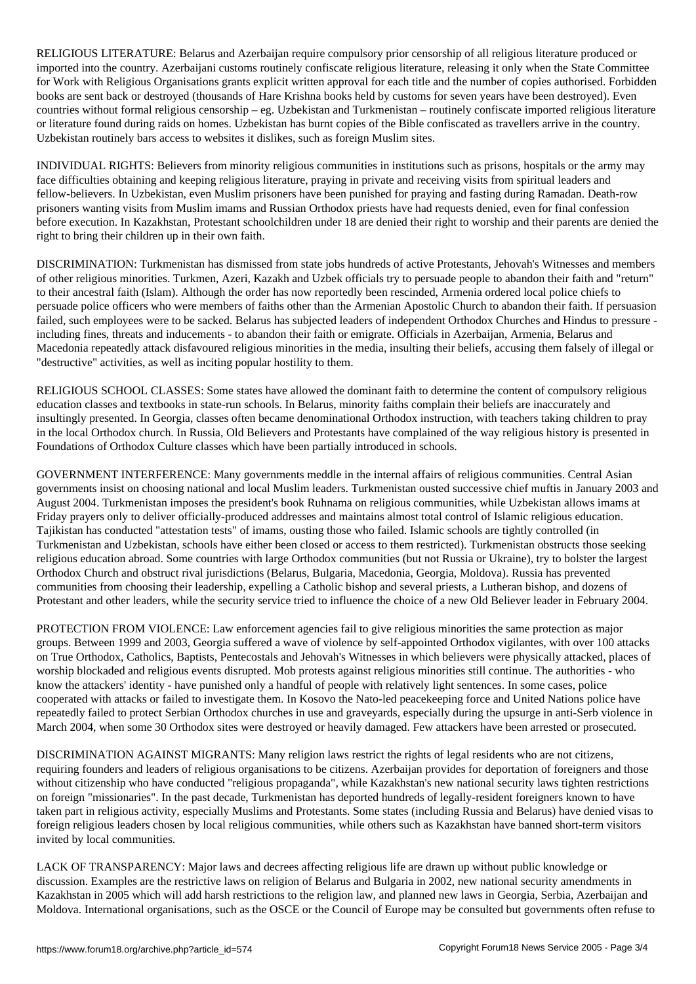RELIGIOUS LITERATURE: Belarus and Azerbaijan require compulsory prior censorship of all religious literature produced or imported into the country. Azerbaijani customs routinely confiscate religious literature, releasing it only when the State Committee for Work with Religious Organisations grants explicit written approval for each title and the number of copies authorised. Forbidden books are sent back or destroyed (thousands of Hare Krishna books held by customs for seven years have been destroyed). Even countries without formal religious censorship – eg. Uzbekistan and Turkmenistan – routinely confiscate imported religious literature or literature found during raids on homes. Uzbekistan has burnt copies of the Bible confiscated as travellers arrive in the country. Uzbekistan routinely bars access to websites it dislikes, such as foreign Muslim sites.

INDIVIDUAL RIGHTS: Believers from minority religious communities in institutions such as prisons, hospitals or the army may face difficulties obtaining and keeping religious literature, praying in private and receiving visits from spiritual leaders and fellow-believers. In Uzbekistan, even Muslim prisoners have been punished for praying and fasting during Ramadan. Death-row prisoners wanting visits from Muslim imams and Russian Orthodox priests have had requests denied, even for final confession before execution. In Kazakhstan, Protestant schoolchildren under 18 are denied their right to worship and their parents are denied the right to bring their children up in their own faith.

DISCRIMINATION: Turkmenistan has dismissed from state jobs hundreds of active Protestants, Jehovah's Witnesses and members of other religious minorities. Turkmen, Azeri, Kazakh and Uzbek officials try to persuade people to abandon their faith and "return" to their ancestral faith (Islam). Although the order has now reportedly been rescinded, Armenia ordered local police chiefs to persuade police officers who were members of faiths other than the Armenian Apostolic Church to abandon their faith. If persuasion failed, such employees were to be sacked. Belarus has subjected leaders of independent Orthodox Churches and Hindus to pressure including fines, threats and inducements - to abandon their faith or emigrate. Officials in Azerbaijan, Armenia, Belarus and Macedonia repeatedly attack disfavoured religious minorities in the media, insulting their beliefs, accusing them falsely of illegal or "destructive" activities, as well as inciting popular hostility to them.

RELIGIOUS SCHOOL CLASSES: Some states have allowed the dominant faith to determine the content of compulsory religious education classes and textbooks in state-run schools. In Belarus, minority faiths complain their beliefs are inaccurately and insultingly presented. In Georgia, classes often became denominational Orthodox instruction, with teachers taking children to pray in the local Orthodox church. In Russia, Old Believers and Protestants have complained of the way religious history is presented in Foundations of Orthodox Culture classes which have been partially introduced in schools.

GOVERNMENT INTERFERENCE: Many governments meddle in the internal affairs of religious communities. Central Asian governments insist on choosing national and local Muslim leaders. Turkmenistan ousted successive chief muftis in January 2003 and August 2004. Turkmenistan imposes the president's book Ruhnama on religious communities, while Uzbekistan allows imams at Friday prayers only to deliver officially-produced addresses and maintains almost total control of Islamic religious education. Tajikistan has conducted "attestation tests" of imams, ousting those who failed. Islamic schools are tightly controlled (in Turkmenistan and Uzbekistan, schools have either been closed or access to them restricted). Turkmenistan obstructs those seeking religious education abroad. Some countries with large Orthodox communities (but not Russia or Ukraine), try to bolster the largest Orthodox Church and obstruct rival jurisdictions (Belarus, Bulgaria, Macedonia, Georgia, Moldova). Russia has prevented communities from choosing their leadership, expelling a Catholic bishop and several priests, a Lutheran bishop, and dozens of Protestant and other leaders, while the security service tried to influence the choice of a new Old Believer leader in February 2004.

PROTECTION FROM VIOLENCE: Law enforcement agencies fail to give religious minorities the same protection as major groups. Between 1999 and 2003, Georgia suffered a wave of violence by self-appointed Orthodox vigilantes, with over 100 attacks on True Orthodox, Catholics, Baptists, Pentecostals and Jehovah's Witnesses in which believers were physically attacked, places of worship blockaded and religious events disrupted. Mob protests against religious minorities still continue. The authorities - who know the attackers' identity - have punished only a handful of people with relatively light sentences. In some cases, police cooperated with attacks or failed to investigate them. In Kosovo the Nato-led peacekeeping force and United Nations police have repeatedly failed to protect Serbian Orthodox churches in use and graveyards, especially during the upsurge in anti-Serb violence in March 2004, when some 30 Orthodox sites were destroyed or heavily damaged. Few attackers have been arrested or prosecuted.

DISCRIMINATION AGAINST MIGRANTS: Many religion laws restrict the rights of legal residents who are not citizens, requiring founders and leaders of religious organisations to be citizens. Azerbaijan provides for deportation of foreigners and those without citizenship who have conducted "religious propaganda", while Kazakhstan's new national security laws tighten restrictions on foreign "missionaries". In the past decade, Turkmenistan has deported hundreds of legally-resident foreigners known to have taken part in religious activity, especially Muslims and Protestants. Some states (including Russia and Belarus) have denied visas to foreign religious leaders chosen by local religious communities, while others such as Kazakhstan have banned short-term visitors invited by local communities.

LACK OF TRANSPARENCY: Major laws and decrees affecting religious life are drawn up without public knowledge or discussion. Examples are the restrictive laws on religion of Belarus and Bulgaria in 2002, new national security amendments in Kazakhstan in 2005 which will add harsh restrictions to the religion law, and planned new laws in Georgia, Serbia, Azerbaijan and Moldova. International organisations, such as the OSCE or the Council of Europe may be consulted but governments often refuse to